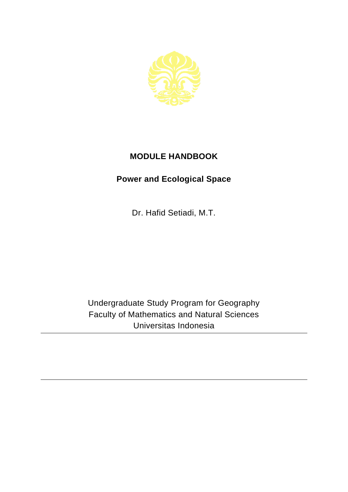

## **MODULE HANDBOOK**

## **Power and Ecological Space**

Dr. Hafid Setiadi, M.T.

Undergraduate Study Program for Geography Faculty of Mathematics and Natural Sciences Universitas Indonesia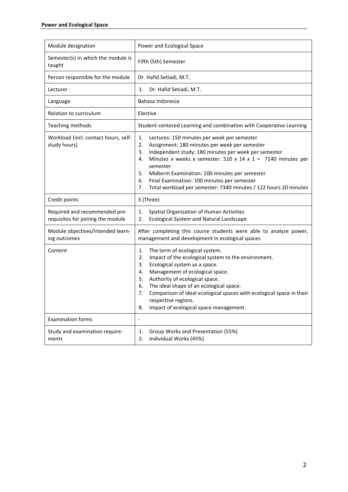| Module designation                                                 | Power and Ecological Space                                                                                                                                                                                                                                                                                                                                                                                                                    |
|--------------------------------------------------------------------|-----------------------------------------------------------------------------------------------------------------------------------------------------------------------------------------------------------------------------------------------------------------------------------------------------------------------------------------------------------------------------------------------------------------------------------------------|
| Semester(s) in which the module is<br>taught                       | Fifth (5th) Semester                                                                                                                                                                                                                                                                                                                                                                                                                          |
| Person responsible for the module                                  | Dr. Hafid Setiadi, M.T.                                                                                                                                                                                                                                                                                                                                                                                                                       |
| Lecturer                                                           | Dr. Hafid Setiadi, M.T.<br>1.                                                                                                                                                                                                                                                                                                                                                                                                                 |
| Language                                                           | Bahasa Indonesia                                                                                                                                                                                                                                                                                                                                                                                                                              |
| Relation to curriculum                                             | Elective                                                                                                                                                                                                                                                                                                                                                                                                                                      |
| Teaching methods                                                   | Student-centered Learning and combination with Cooperative Learning                                                                                                                                                                                                                                                                                                                                                                           |
| Workload (incl. contact hours, self-<br>study hours)               | 1.<br>Lectures: 150 minutes per week per semester<br>Assignment: 180 minutes per week per semester<br>2.<br>Independent study: 180 minutes per week per semester<br>3.<br>Minutes x weeks x semester: 510 x 14 x 1 = 7140 minutes per<br>4.<br>semester<br>5.<br>Midterm Examination: 100 minutes per semester<br>6.<br>Final Examination: 100 minutes per semester<br>7.<br>Total workload per semester: 7340 minutes / 122 hours 20 minutes |
| Credit points                                                      | 3 (Three)                                                                                                                                                                                                                                                                                                                                                                                                                                     |
| Required and recommended pre-<br>requisites for joining the module | Spatial Organization of Human Activities<br>1.<br>2.<br>Ecological System and Natural Landscape                                                                                                                                                                                                                                                                                                                                               |
| Module objectives/intended learn-<br>ing outcomes                  | After completing this course students were able to analyze power,<br>management and development in ecological spaces                                                                                                                                                                                                                                                                                                                          |
| Content                                                            | The term of ecological system.<br>1.<br>2.<br>Impact of the ecological system to the environment.<br>Ecological system as a space.<br>3.<br>Management of ecological space.<br>4.<br>Authority of ecological space.<br>5.<br>The ideal shape of an ecological space.<br>6.<br>Comparison of ideal ecological spaces with ecological space in their<br>7.<br>respective regions.<br>Impact of ecological space management.<br>8.               |
| <b>Examination forms</b>                                           | $\overline{a}$                                                                                                                                                                                                                                                                                                                                                                                                                                |
| Study and examination require-<br>ments                            | Group Works and Presentation (55%)<br>1.<br>2.<br>Individual Works (45%)                                                                                                                                                                                                                                                                                                                                                                      |